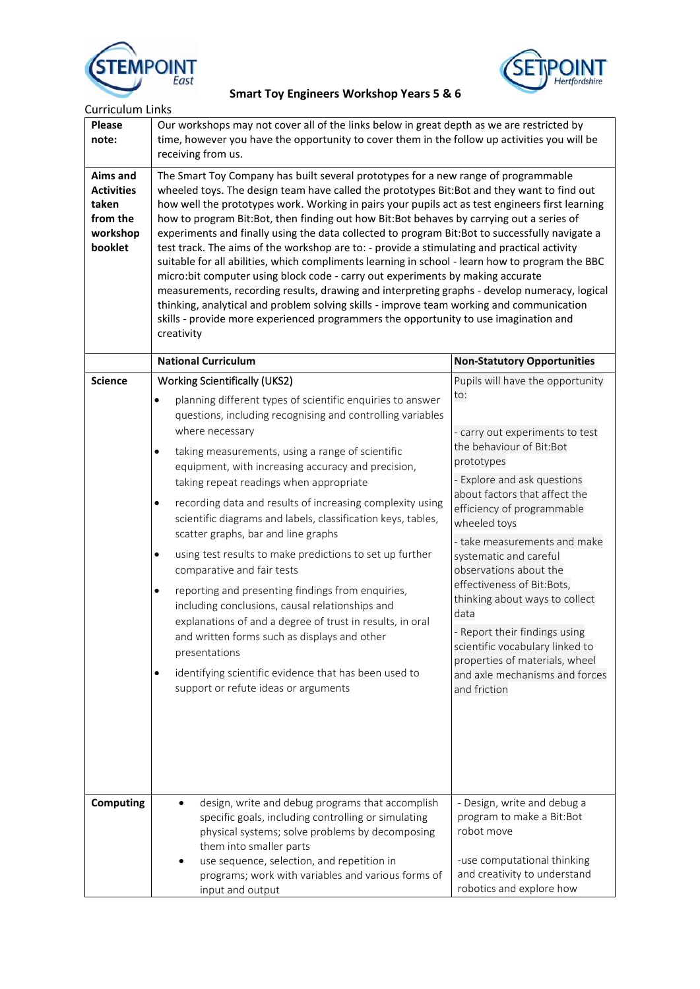



| <b>Curriculum Links</b>                                                   |                                                                                                                                                                                                                                                                                                                                                                                                                                                                                                                                                                                                                                                                                                                                                                                                                                                                                                                                                                                                                                                                                                                                                                                                                                                                                            |                                                                                                                                                                                                                                                                                                                                                                                                                                                                                                                                                        |  |
|---------------------------------------------------------------------------|--------------------------------------------------------------------------------------------------------------------------------------------------------------------------------------------------------------------------------------------------------------------------------------------------------------------------------------------------------------------------------------------------------------------------------------------------------------------------------------------------------------------------------------------------------------------------------------------------------------------------------------------------------------------------------------------------------------------------------------------------------------------------------------------------------------------------------------------------------------------------------------------------------------------------------------------------------------------------------------------------------------------------------------------------------------------------------------------------------------------------------------------------------------------------------------------------------------------------------------------------------------------------------------------|--------------------------------------------------------------------------------------------------------------------------------------------------------------------------------------------------------------------------------------------------------------------------------------------------------------------------------------------------------------------------------------------------------------------------------------------------------------------------------------------------------------------------------------------------------|--|
| Please<br>note:                                                           | Our workshops may not cover all of the links below in great depth as we are restricted by<br>time, however you have the opportunity to cover them in the follow up activities you will be<br>receiving from us.<br>The Smart Toy Company has built several prototypes for a new range of programmable<br>wheeled toys. The design team have called the prototypes Bit:Bot and they want to find out<br>how well the prototypes work. Working in pairs your pupils act as test engineers first learning<br>how to program Bit:Bot, then finding out how Bit:Bot behaves by carrying out a series of<br>experiments and finally using the data collected to program Bit:Bot to successfully navigate a<br>test track. The aims of the workshop are to: - provide a stimulating and practical activity<br>suitable for all abilities, which compliments learning in school - learn how to program the BBC<br>micro:bit computer using block code - carry out experiments by making accurate<br>measurements, recording results, drawing and interpreting graphs - develop numeracy, logical<br>thinking, analytical and problem solving skills - improve team working and communication<br>skills - provide more experienced programmers the opportunity to use imagination and<br>creativity |                                                                                                                                                                                                                                                                                                                                                                                                                                                                                                                                                        |  |
| Aims and<br><b>Activities</b><br>taken<br>from the<br>workshop<br>booklet |                                                                                                                                                                                                                                                                                                                                                                                                                                                                                                                                                                                                                                                                                                                                                                                                                                                                                                                                                                                                                                                                                                                                                                                                                                                                                            |                                                                                                                                                                                                                                                                                                                                                                                                                                                                                                                                                        |  |
|                                                                           | <b>National Curriculum</b>                                                                                                                                                                                                                                                                                                                                                                                                                                                                                                                                                                                                                                                                                                                                                                                                                                                                                                                                                                                                                                                                                                                                                                                                                                                                 | <b>Non-Statutory Opportunities</b>                                                                                                                                                                                                                                                                                                                                                                                                                                                                                                                     |  |
| <b>Science</b>                                                            | <b>Working Scientifically (UKS2)</b><br>planning different types of scientific enquiries to answer<br>$\bullet$<br>questions, including recognising and controlling variables<br>where necessary<br>taking measurements, using a range of scientific<br>$\bullet$<br>equipment, with increasing accuracy and precision,<br>taking repeat readings when appropriate<br>recording data and results of increasing complexity using<br>$\bullet$<br>scientific diagrams and labels, classification keys, tables,<br>scatter graphs, bar and line graphs<br>using test results to make predictions to set up further<br>$\bullet$<br>comparative and fair tests<br>reporting and presenting findings from enquiries,<br>$\bullet$<br>including conclusions, causal relationships and<br>explanations of and a degree of trust in results, in oral<br>and written forms such as displays and other<br>presentations<br>identifying scientific evidence that has been used to<br>$\bullet$<br>support or refute ideas or arguments                                                                                                                                                                                                                                                                | Pupils will have the opportunity<br>to:<br>- carry out experiments to test<br>the behaviour of Bit:Bot<br>prototypes<br>- Explore and ask questions<br>about factors that affect the<br>efficiency of programmable<br>wheeled toys<br>- take measurements and make<br>systematic and careful<br>observations about the<br>effectiveness of Bit:Bots,<br>thinking about ways to collect<br>data<br>- Report their findings using<br>scientific vocabulary linked to<br>properties of materials, wheel<br>and axle mechanisms and forces<br>and friction |  |
| <b>Computing</b>                                                          | design, write and debug programs that accomplish<br>specific goals, including controlling or simulating<br>physical systems; solve problems by decomposing<br>them into smaller parts<br>use sequence, selection, and repetition in<br>programs; work with variables and various forms of<br>input and output                                                                                                                                                                                                                                                                                                                                                                                                                                                                                                                                                                                                                                                                                                                                                                                                                                                                                                                                                                              | - Design, write and debug a<br>program to make a Bit:Bot<br>robot move<br>-use computational thinking<br>and creativity to understand<br>robotics and explore how                                                                                                                                                                                                                                                                                                                                                                                      |  |